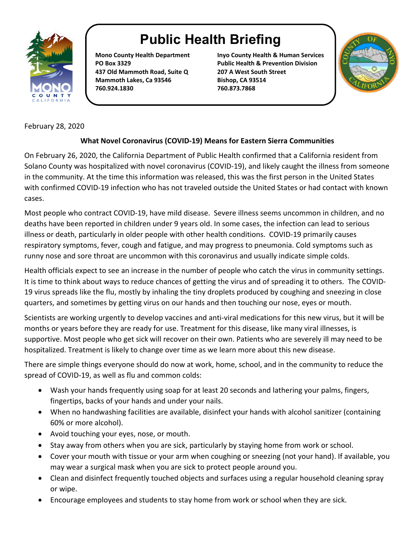

## **Public Health Briefing**

**437 Old Mammoth Road, Suite Q 207 A West South Street Mammoth Lakes, Ca 93546 Bishop, CA 93514 760.924.1830 760.873.7868**

**Mono County Health Department Inyo County Health & Human Services PO Box 3329 Public Health & Prevention Division**



## February 28, 2020

## **What Novel Coronavirus (COVID-19) Means for Eastern Sierra Communities**

On February 26, 2020, the California Department of Public Health confirmed that a California resident from Solano County was hospitalized with novel coronavirus (COVID-19), and likely caught the illness from someone in the community. At the time this information was released, this was the first person in the United States with confirmed COVID-19 infection who has not traveled outside the United States or had contact with known cases.

Most people who contract COVID-19, have mild disease. Severe illness seems uncommon in children, and no deaths have been reported in children under 9 years old. In some cases, the infection can lead to serious illness or death, particularly in older people with other health conditions. COVID-19 primarily causes respiratory symptoms, fever, cough and fatigue, and may progress to pneumonia. Cold symptoms such as runny nose and sore throat are uncommon with this coronavirus and usually indicate simple colds.

Health officials expect to see an increase in the number of people who catch the virus in community settings. It is time to think about ways to reduce chances of getting the virus and of spreading it to others. The COVID-19 virus spreads like the flu, mostly by inhaling the tiny droplets produced by coughing and sneezing in close quarters, and sometimes by getting virus on our hands and then touching our nose, eyes or mouth.

Scientists are working urgently to develop vaccines and anti-viral medications for this new virus, but it will be months or years before they are ready for use. Treatment for this disease, like many viral illnesses, is supportive. Most people who get sick will recover on their own. Patients who are severely ill may need to be hospitalized. Treatment is likely to change over time as we learn more about this new disease.

There are simple things everyone should do now at work, home, school, and in the community to reduce the spread of COVID-19, as well as flu and common colds:

- Wash your hands frequently using soap for at least 20 seconds and lathering your palms, fingers, fingertips, backs of your hands and under your nails.
- When no handwashing facilities are available, disinfect your hands with alcohol sanitizer (containing 60% or more alcohol).
- Avoid touching your eyes, nose, or mouth.
- Stay away from others when you are sick, particularly by staying home from work or school.
- Cover your mouth with tissue or your arm when coughing or sneezing (not your hand). If available, you may wear a surgical mask when you are sick to protect people around you.
- Clean and disinfect frequently touched objects and surfaces using a regular household cleaning spray or wipe.
- Encourage employees and students to stay home from work or school when they are sick.